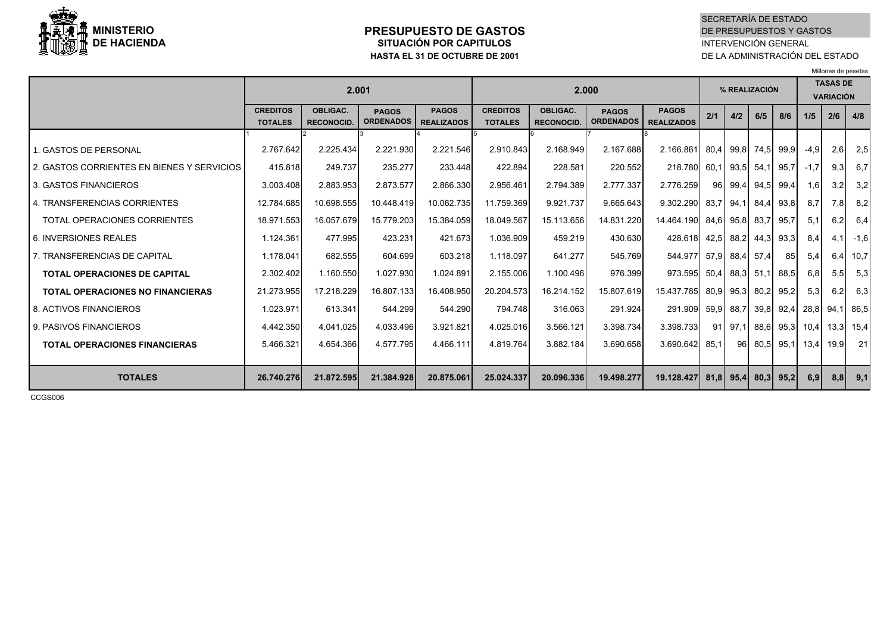

### **PRESUPUESTO DE GASTOSSITUACIÓN POR CAPITULOS HASTA EL 31 DE OCTUBRE DE 2001**

SECRETARÍA DE ESTADO DE PRESUPUESTOS Y GASTOSINTERVENCIÓN GENERAL DE LA ADMINISTRACIÓN DEL ESTADO

Millones de pesetas

|                                                                                                                                    | 2.001                                             |                                                 |                                                 |                                                 | 2.000                                           |                                                 |                                                |                                                                                        |     | % REALIZACIÓN |              |                                               |                                | <b>TASAS DE</b><br><b>VARIACIÓN</b> |                                        |  |
|------------------------------------------------------------------------------------------------------------------------------------|---------------------------------------------------|-------------------------------------------------|-------------------------------------------------|-------------------------------------------------|-------------------------------------------------|-------------------------------------------------|------------------------------------------------|----------------------------------------------------------------------------------------|-----|---------------|--------------|-----------------------------------------------|--------------------------------|-------------------------------------|----------------------------------------|--|
|                                                                                                                                    | <b>CREDITOS</b><br><b>TOTALES</b>                 | <b>OBLIGAC.</b><br><b>RECONOCID.</b>            | <b>PAGOS</b><br><b>ORDENADOS</b>                | <b>PAGOS</b><br><b>REALIZADOS</b>               | <b>CREDITOS</b><br><b>TOTALES</b>               | <b>OBLIGAC.</b><br><b>RECONOCID.</b>            | <b>PAGOS</b><br><b>ORDENADOS</b>               | <b>PAGOS</b><br><b>REALIZADOS</b>                                                      | 2/1 | 4/2           | 6/5          | 8/6                                           | 1/5                            | 2/6                                 | 4/8                                    |  |
| 1. GASTOS DE PERSONAL<br>2. GASTOS CORRIENTES EN BIENES Y SERVICIOS<br>3. GASTOS FINANCIEROS<br>4. TRANSFERENCIAS CORRIENTES       | 2.767.642<br>415.818<br>3.003.408<br>12.784.685   | 2.225.434<br>249.737<br>2.883.953<br>10.698.555 | 2.221.930<br>235.277<br>2.873.577<br>10.448.419 | 2.221.546<br>233.448<br>2.866.330<br>10.062.735 | 2.910.843<br>422.894<br>2.956.461<br>11.759.369 | 2.168.949<br>228.581<br>2.794.389<br>9.921.737  | 2.167.688<br>220.552<br>2.777.337<br>9.665.643 | 2.166.861 80,4 99,8 74,5 99,9<br>218.780 60,1 93,5<br>2.776.259<br>9.302.290 83,7 94,1 | 96  |               |              | 54,1 95,7<br>99,4 94,5 99,4<br>84,4 93,8      | $-4,9$<br>$-1,7$<br>1,6<br>8,7 | 2.6I<br>9,3<br>3,2<br>7,8           | 2,5<br>6,7<br>3,2<br>8,2               |  |
| TOTAL OPERACIONES CORRIENTES<br>6. INVERSIONES REALES<br>7. TRANSFERENCIAS DE CAPITAL                                              | 18.971.553<br>1.124.361<br>1.178.041              | 16.057.679<br>477.995<br>682.555                | 15.779.203<br>423.231<br>604.699                | 15.384.059<br>421.673<br>603.218                | 18.049.567<br>1.036.909<br>1.118.097            | 15.113.656<br>459.219<br>641.277                | 14.831.220<br>430.630<br>545.769               | 14.464.190 84,6 95,8<br>428.618 42,5 88,2<br>544.977 57.9 88.4                         |     |               | 83,7<br>57,4 | 95,7<br>44,3 93,3<br>85                       | 5,1<br>8,4<br>5,4              | 6,2<br>4,1                          | 6,4<br>$-1,6$<br>$6,4$ 10,7            |  |
| <b>TOTAL OPERACIONES DE CAPITAL</b><br><b>TOTAL OPERACIONES NO FINANCIERAS</b><br>8. ACTIVOS FINANCIEROS<br>9. PASIVOS FINANCIEROS | 2.302.402<br>21.273.955<br>1.023.971<br>4.442.350 | 1.160.550<br>17.218.229<br>613.341<br>4.041.025 | 1.027.930<br>16.807.133<br>544.299<br>4.033.496 | 1.024.891<br>16.408.950<br>544.290<br>3.921.821 | 2.155.006<br>20.204.573<br>794.748<br>4.025.016 | 1.100.496<br>16.214.152<br>316.063<br>3.566.121 | 976.399<br>15.807.619<br>291.924<br>3.398.734  | 973.595 50,4 88,3 51,1 88,5<br>15.437.785 80,9 95,3<br>291.909 59.9 88.7<br>3.398.733  |     | $91$ 97,1     |              | 80,2 95,2<br>39,8 92,4 28,8<br>88,6 95,3 10,4 | 6,8<br>5,3                     | 5,5<br>6,2                          | 5,3<br>6,3<br>94,1 86,5<br>$13,3$ 15,4 |  |
| <b>TOTAL OPERACIONES FINANCIERAS</b><br><b>TOTALES</b>                                                                             | 5.466.321<br>26.740.276                           | 4.654.366<br>21.872.595                         | 4.577.795<br>21.384.928                         | 4.466.111<br>20.875.061                         | 4.819.764<br>25.024.337                         | 3.882.184<br>20.096.336                         | 3.690.658<br>19.498.277                        | 3.690.642 85,1<br>19.128.427   81,8   95,4   80,3   95,2                               |     | 96            |              | 80,5 95,1 13,4                                | 6,9                            | 19,9                                | 21<br>$8,8$ 9,1                        |  |

CCGS006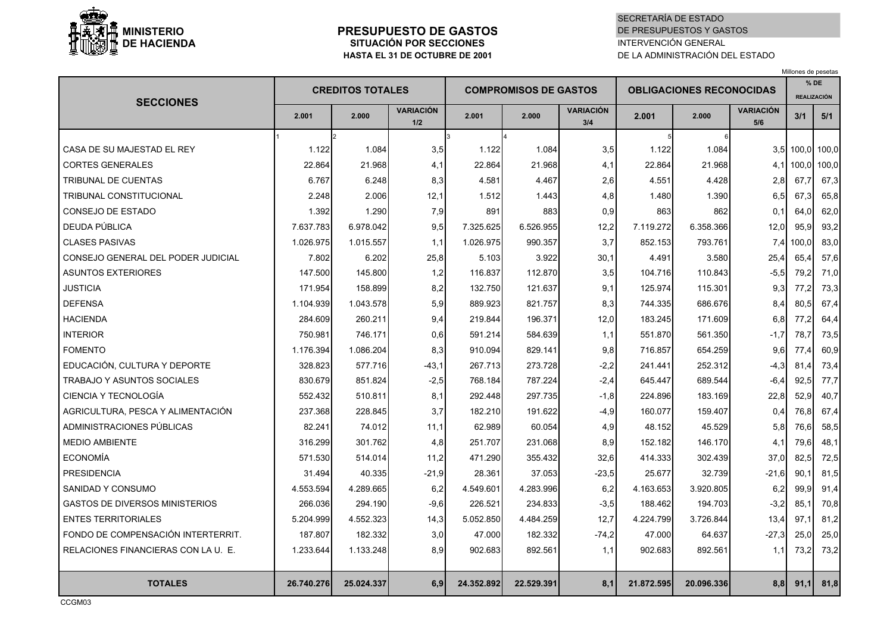

## **PRESUPUESTO DE GASTOSSITUACIÓN POR SECCIONES HASTA EL 31 DE OCTUBRE DE 2001**

## SECRETARÍA DE ESTADODE PRESUPUESTOS Y GASTOS INTERVENCIÓN GENERALDE LA ADMINISTRACIÓN DEL ESTADO

Millones de pesetas

| <b>SECCIONES</b>                      |            | <b>CREDITOS TOTALES</b> |                         |            | <b>COMPROMISOS DE GASTOS</b> |                         | <b>OBLIGACIONES RECONOCIDAS</b> |            |                         |           | $%$ DE<br><b>REALIZACIÓN</b> |
|---------------------------------------|------------|-------------------------|-------------------------|------------|------------------------------|-------------------------|---------------------------------|------------|-------------------------|-----------|------------------------------|
|                                       | 2.001      | 2.000                   | <b>VARIACIÓN</b><br>1/2 | 2.001      | 2.000                        | <b>VARIACIÓN</b><br>3/4 | 2.001                           | 2.000      | <b>VARIACIÓN</b><br>5/6 | 3/1       | 5/1                          |
|                                       |            |                         |                         | 3          |                              |                         | 5                               |            |                         |           |                              |
| CASA DE SU MAJESTAD EL REY            | 1.122      | 1.084                   | 3,5                     | 1.122      | 1.084                        | 3,5                     | 1.122                           | 1.084      |                         | 3.5 100.0 | 100,0                        |
| <b>CORTES GENERALES</b>               | 22.864     | 21.968                  | 4,1                     | 22.864     | 21.968                       | 4,1                     | 22.864                          | 21.968     |                         | 4,1 100,0 | 100,0                        |
| <b>TRIBUNAL DE CUENTAS</b>            | 6.767      | 6.248                   | 8,3                     | 4.581      | 4.467                        | 2,6                     | 4.551                           | 4.428      | 2,8                     | 67,7      | 67,3                         |
| TRIBUNAL CONSTITUCIONAL               | 2.248      | 2.006                   | 12,1                    | 1.512      | 1.443                        | 4,8                     | 1.480                           | 1.390      | 6,5                     | 67,3      | 65,8                         |
| <b>CONSEJO DE ESTADO</b>              | 1.392      | 1.290                   | 7,9                     | 891        | 883                          | 0,9                     | 863                             | 862        | 0.1                     | 64,0      | 62,0                         |
| DEUDA PÚBLICA                         | 7.637.783  | 6.978.042               | 9,5                     | 7.325.625  | 6.526.955                    | 12,2                    | 7.119.272                       | 6.358.366  | 12,0                    | 95,9      | 93,2                         |
| <b>CLASES PASIVAS</b>                 | 1.026.975  | 1.015.557               | 1,1                     | 1.026.975  | 990.357                      | 3,7                     | 852.153                         | 793.761    |                         | 7,4 100,0 | 83,0                         |
| CONSEJO GENERAL DEL PODER JUDICIAL    | 7.802      | 6.202                   | 25,8                    | 5.103      | 3.922                        | 30,1                    | 4.491                           | 3.580      | 25,4                    | 65,4      | 57,6                         |
| <b>ASUNTOS EXTERIORES</b>             | 147.500    | 145.800                 | 1,2                     | 116.837    | 112.870                      | 3,5                     | 104.716                         | 110.843    | $-5.5$                  | 79,2      | 71,0                         |
| <b>JUSTICIA</b>                       | 171.954    | 158.899                 | 8,2                     | 132.750    | 121.637                      | 9,1                     | 125.974                         | 115.301    | 9,3                     | 77,2      | 73,3                         |
| <b>DEFENSA</b>                        | 1.104.939  | 1.043.578               | 5,9                     | 889.923    | 821.757                      | 8,3                     | 744.335                         | 686.676    | 8,4                     | 80,5      | 67,4                         |
| <b>HACIENDA</b>                       | 284.609    | 260.211                 | 9,4                     | 219.844    | 196.371                      | 12,0                    | 183.245                         | 171.609    | 6,8                     | 77.2      | 64,4                         |
| <b>INTERIOR</b>                       | 750.981    | 746.171                 | 0,6                     | 591.214    | 584.639                      | 1,1                     | 551.870                         | 561.350    | $-1,7$                  | 78,7      | 73,5                         |
| <b>FOMENTO</b>                        | 1.176.394  | 1.086.204               | 8,3                     | 910.094    | 829.141                      | 9,8                     | 716.857                         | 654.259    | 9.61                    | 77.4      | 60,9                         |
| EDUCACIÓN, CULTURA Y DEPORTE          | 328.823    | 577.716                 | $-43,1$                 | 267.713    | 273.728                      | $-2,2$                  | 241.441                         | 252.312    | $-4,3$                  | 81,4      | 73,4                         |
| <b>TRABAJO Y ASUNTOS SOCIALES</b>     | 830.679    | 851.824                 | $-2,5$                  | 768.184    | 787.224                      | $-2,4$                  | 645.447                         | 689.544    | $-6,4$                  | 92,5      | 77,7                         |
| CIENCIA Y TECNOLOGÍA                  | 552.432    | 510.811                 | 8,1                     | 292.448    | 297.735                      | $-1,8$                  | 224.896                         | 183.169    | 22,8                    | 52,9      | 40,7                         |
| AGRICULTURA, PESCA Y ALIMENTACIÓN     | 237.368    | 228.845                 | 3,7                     | 182.210    | 191.622                      | $-4,9$                  | 160.077                         | 159.407    | 0.4                     | 76,8      | 67,4                         |
| ADMINISTRACIONES PÚBLICAS             | 82.241     | 74.012                  | 11,1                    | 62.989     | 60.054                       | 4,9                     | 48.152                          | 45.529     | 5,8                     | 76,6      | 58,5                         |
| <b>MEDIO AMBIENTE</b>                 | 316.299    | 301.762                 | 4,8                     | 251.707    | 231.068                      | 8,9                     | 152.182                         | 146.170    | 4,1                     | 79.6      | 48,1                         |
| <b>ECONOMÍA</b>                       | 571.530    | 514.014                 | 11,2                    | 471.290    | 355.432                      | 32,6                    | 414.333                         | 302.439    | 37,0                    | 82,5      | 72,5                         |
| <b>PRESIDENCIA</b>                    | 31.494     | 40.335                  | $-21,9$                 | 28.361     | 37.053                       | $-23,5$                 | 25.677                          | 32.739     | $-21.6$                 | 90,1      | 81,5                         |
| SANIDAD Y CONSUMO                     | 4.553.594  | 4.289.665               | 6,2                     | 4.549.601  | 4.283.996                    | 6,2                     | 4.163.653                       | 3.920.805  | 6,2                     | 99,9      | 91,4                         |
| <b>GASTOS DE DIVERSOS MINISTERIOS</b> | 266.036    | 294.190                 | $-9,6$                  | 226.521    | 234.833                      | $-3,5$                  | 188.462                         | 194.703    | $-3,2$                  | 85,1      | 70,8                         |
| <b>ENTES TERRITORIALES</b>            | 5.204.999  | 4.552.323               | 14,3                    | 5.052.850  | 4.484.259                    | 12,7                    | 4.224.799                       | 3.726.844  | 13,4                    | 97.1      | 81,2                         |
| FONDO DE COMPENSACIÓN INTERTERRIT.    | 187.807    | 182.332                 | 3,0                     | 47.000     | 182.332                      | $-74,2$                 | 47.000                          | 64.637     | $-27,3$                 | 25,0      | 25,0                         |
| RELACIONES FINANCIERAS CON LA U. E.   | 1.233.644  | 1.133.248               | 8,9                     | 902.683    | 892.561                      | 1,1                     | 902.683                         | 892.561    | 1,1                     | 73,2      | 73,2                         |
|                                       |            |                         |                         |            |                              |                         |                                 |            |                         |           |                              |
| <b>TOTALES</b>                        | 26.740.276 | 25.024.337              | 6,9                     | 24.352.892 | 22.529.391                   | 8,1                     | 21.872.595                      | 20.096.336 | 8,8                     | 91,1      | 81,8                         |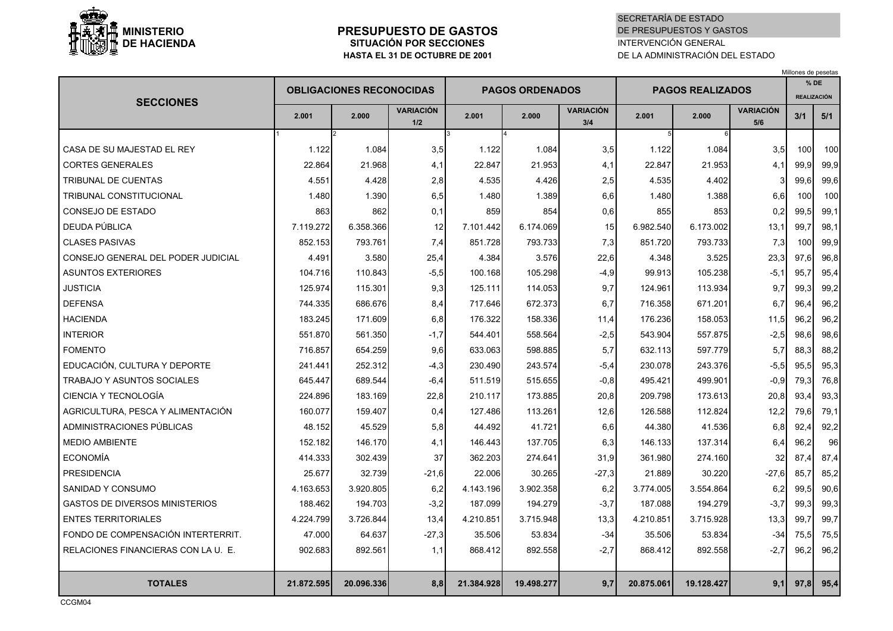

### **PRESUPUESTO DE GASTOSSITUACIÓN POR SECCIONESHASTA EL 31 DE OCTUBRE DE 2001**

### SECRETARÍA DE ESTADODE PRESUPUESTOS Y GASTOSINTERVENCIÓN GENERALDE LA ADMINISTRACIÓN DEL ESTADO

Millones de pesetas

**VARIACIÓN VARIACIÓN VARIACIÓN1/2 3/4 5/6**1 2 13 4 15 5 6 CASA DE SU MAJESTAD EL REY 1.122 1.084 3,5 1.122 1.084 3,5 1.122 1.084 3,5 100 100 CORTES GENERALES 22.864 21.968 4,1 22.847 21.953 4,1 22.847 21.953 4,1 99,9 99,9 TRIBUNAL DE CUENTAS 4.551 4.428 2,8 4.535 4.426 2,5 4.535 4.402 3 99,6 99,6 TRIBUNAL CONSTITUCIONAL 1.480 1.390 6,5 1.480 1.389 6,6 1.480 1.388 6,6 100 100 CONSEJO DE ESTADO | 863| 862| 0,1| 859| 854| 0,6| 855| 853| 0,2| 99,5| 99,1 DEUDA PÚBLICA 7.119.272 6.358.366 <sup>12</sup> 7.101.442 6.174.069 15 6.982.540 6.173.002 13,1 99,7 98,1 CLASES PASIVAS 852.153 793.761 7,4 851.728 793.733 7,3 851.720 793.733 7,3 100 99,9 CONSEJO GENERAL DEL PODER JUDICIAL 4.491 3.580 25,4 4.384 3.576 22,6 4.348 3.525 23,3 97,6 96,8 ASUNTOS EXTERIORES 104.716 110.843 -5,5 100.168 105.298 -4,9 99.913 105.238 -5,1 95,7 95,4 JUSTICIA 125.974 115.301 9,3 125.111 114.053 9,7 124.961 113.934 9,7 99,3 99,2 DEFENSA 744.335 686.676 8,4 717.646 672.373 6,7 716.358 671.201 6,7 96,4 96,2 HACIENDA 183.245 171.609 6,8 176.322 158.336 11,4 176.236 158.053 11,5 96,2 96,2 INTERIOR 551.870 561.350 -1,7 544.401 558.564 -2,5 543.904 557.875 -2,5 98,6 98,6 FOMENTO 716.857 654.259 9,6 633.063 598.885 5,7 632.113 597.779 5,7 88,3 88,2 EDUCACIÓN, CULTURA Y DEPORTE | 241.441 252.312 -4,3 230.490 243.574 -5,4 230.078 243.376 -5,5 95,5 95,3 TRABAJO Y ASUNTOS SOCIALES 645.447 689.544 -6,4 511.519 515.655 -0,8 495.421 499.901 -0,9 79,3 76,8 CIENCIA Y TECNOLOGÍA 224.896 183.169 22,8 210.117 173.885 20,8 209.798 173.613 20,8 93,4 93,3 AGRICULTURA, PESCA Y ALIMENTACIÓN 160.077 159.407 0,4 127.486 113.261 12,6 126.588 112.824 12,2 79,6 79,1 ADMINISTRACIONES PÚBLICAS 48.152 45.529 5,8 44.492 41.721 6,6 44.380 41.536 6,8 92,4 92,2 MEDIO AMBIENTE 152.182 146.170 4,1 146.443 137.705 6,3 146.133 137.314 6,4 96,2 96 ECONOMÍA 414.333 302.439 37 362.203 274.641 31,9 361.980 274.160 32 87,4 87,4 PRESIDENCIA 25.677 32.739 -21,6 22.006 30.265 -27,3 21.889 30.220 -27,6 85,7 85,2 SANIDAD Y CONSUMO 4.163.653 3.920.805 6,2 4.143.196 3.902.358 6,2 3.774.005 3.554.864 6,2 99,5 90,6 GASTOS DE DIVERSOS MINISTERIOS | 188.462 194.703 -3,2 187.099 194.279 -3,7 187.088 194.279 -3,7 99,3 99,3 ENTES TERRITORIALES 4.224.799 3.726.844 13,4 4.210.851 3.715.948 13,3 4.210.851 3.715.928 13,3 99,7 99,7 FONDO DE COMPENSACIÓN INTERTERRIT. | 47.000 64.637 -27,3 35.506 53.834 -34 35.506 53.834 -34 75,5 75,5 RELACIONES FINANCIERAS CON LA U. E. | 902.683 892.561 1,1 868.412 892.558 -2.7 868.412 892.558 -2.7 96.2 96.2 TOTALES | 21.872.595| 20.096.336| 8,8| 21.384.928| 19.498.277| 9,7| 20.875.061| 19.128.427| 9,1| 97,8| 95,4 **SECCIONES2.001 2.000OBLIGACIONES RECONOCIDAS2.001**2.000  $\frac{\text{VARTATION}}{5/6}$  3/1 **PAGOS ORDENADOS PAGOS REALIZADOS2.001% DEREALIZACIÓN2.0000 1 11.2.001 5/1 5/1 5/1 5/1 5/1**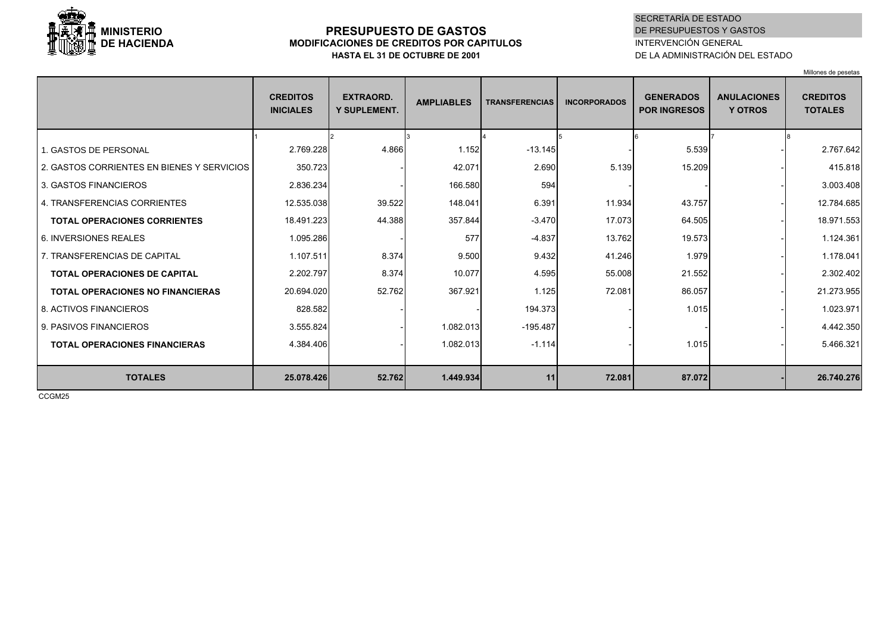

## **PRESUPUESTO DE GASTOS MODIFICACIONES DE CREDITOS POR CAPITULOS HASTA EL 31 DE OCTUBRE DE 2001**

## SECRETARÍA DE ESTADODE PRESUPUESTOS Y GASTOS INTERVENCIÓN GENERALDE LA ADMINISTRACIÓN DEL ESTADO

Millones de pesetas

|                                            | <b>CREDITOS</b><br><b>INICIALES</b> | <b>EXTRAORD.</b><br><b>Y SUPLEMENT.</b> | <b>AMPLIABLES</b> | <b>TRANSFERENCIAS</b> | <b>INCORPORADOS</b> | <b>GENERADOS</b><br><b>POR INGRESOS</b> | <b>ANULACIONES</b><br><b>Y OTROS</b> | <b>CREDITOS</b><br><b>TOTALES</b> |
|--------------------------------------------|-------------------------------------|-----------------------------------------|-------------------|-----------------------|---------------------|-----------------------------------------|--------------------------------------|-----------------------------------|
|                                            |                                     |                                         |                   |                       |                     |                                         |                                      |                                   |
| 1. GASTOS DE PERSONAL                      | 2.769.228                           | 4.866                                   | 1.152             | $-13.145$             |                     | 5.539                                   |                                      | 2.767.642                         |
| 2. GASTOS CORRIENTES EN BIENES Y SERVICIOS | 350.723                             |                                         | 42.071            | 2.690                 | 5.139               | 15.209                                  |                                      | 415.818                           |
| 3. GASTOS FINANCIEROS                      | 2.836.234                           |                                         | 166.580           | 594                   |                     |                                         |                                      | 3.003.408                         |
| 4. TRANSFERENCIAS CORRIENTES               | 12.535.038                          | 39.522                                  | 148.041           | 6.391                 | 11.934              | 43.757                                  |                                      | 12.784.685                        |
| <b>TOTAL OPERACIONES CORRIENTES</b>        | 18.491.223                          | 44.388                                  | 357.844           | $-3.470$              | 17.073              | 64.505                                  |                                      | 18.971.553                        |
| 6. INVERSIONES REALES                      | 1.095.286                           |                                         | 577               | $-4.837$              | 13.762              | 19.573                                  |                                      | 1.124.361                         |
| 7. TRANSFERENCIAS DE CAPITAL               | 1.107.511                           | 8.374                                   | 9.500             | 9.432                 | 41.246              | 1.979                                   |                                      | 1.178.041                         |
| <b>TOTAL OPERACIONES DE CAPITAL</b>        | 2.202.797                           | 8.374                                   | 10.077            | 4.595                 | 55.008              | 21.552                                  |                                      | 2.302.402                         |
| <b>TOTAL OPERACIONES NO FINANCIERAS</b>    | 20.694.020                          | 52.762                                  | 367.921           | 1.125                 | 72.081              | 86.057                                  |                                      | 21.273.955                        |
| 8. ACTIVOS FINANCIEROS                     | 828.582                             |                                         |                   | 194.373               |                     | 1.015                                   |                                      | 1.023.971                         |
| 9. PASIVOS FINANCIEROS                     | 3.555.824                           |                                         | 1.082.013         | $-195.487$            |                     |                                         |                                      | 4.442.350                         |
| <b>TOTAL OPERACIONES FINANCIERAS</b>       | 4.384.406                           |                                         | 1.082.013         | $-1.114$              |                     | 1.015                                   |                                      | 5.466.321                         |
|                                            |                                     |                                         |                   |                       |                     |                                         |                                      |                                   |
| <b>TOTALES</b>                             | 25.078.426                          | 52.762                                  | 1.449.934         | 11                    | 72.081              | 87.072                                  |                                      | 26.740.276                        |

CCGM25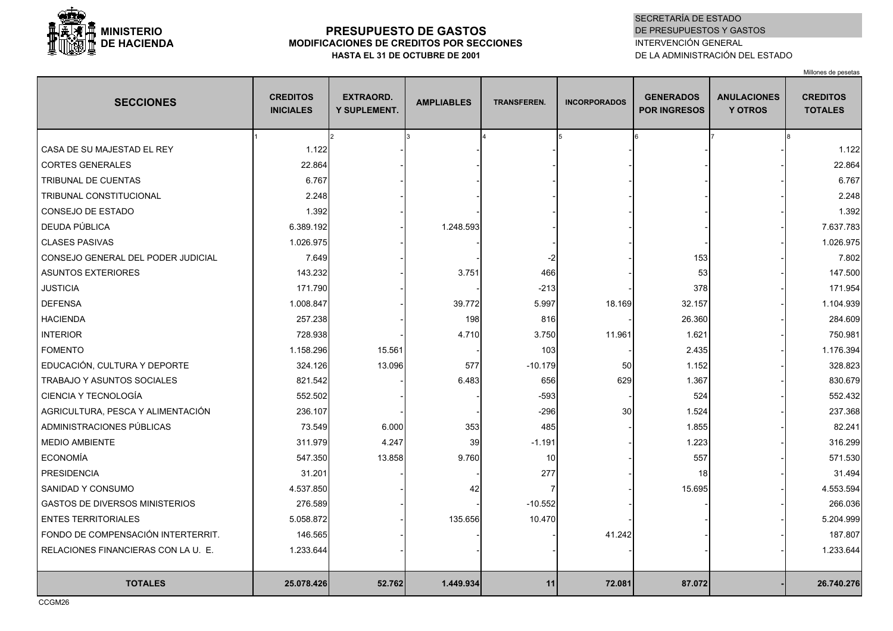

# **PRESUPUESTO DE GASTOS MODIFICACIONES DE CREDITOS POR SECCIONES HASTA EL 31 DE OCTUBRE DE 2001**

### SECRETARÍA DE ESTADODE PRESUPUESTOS Y GASTOS INTERVENCIÓN GENERALDE LA ADMINISTRACIÓN DEL ESTADO

Millones de pesetas

| <b>SECCIONES</b>                      | <b>CREDITOS</b><br><b>INICIALES</b> | <b>EXTRAORD.</b><br><b>Y SUPLEMENT.</b> | <b>AMPLIABLES</b> | <b>TRANSFEREN.</b> | <b>INCORPORADOS</b> | <b>GENERADOS</b><br><b>POR INGRESOS</b> | <b>ANULACIONES</b><br><b>Y OTROS</b> | <b>CREDITOS</b><br><b>TOTALES</b> |
|---------------------------------------|-------------------------------------|-----------------------------------------|-------------------|--------------------|---------------------|-----------------------------------------|--------------------------------------|-----------------------------------|
|                                       |                                     | $\mathcal{P}$                           |                   |                    |                     |                                         |                                      |                                   |
| CASA DE SU MAJESTAD EL REY            | 1.122                               |                                         |                   |                    |                     |                                         |                                      | 1.122                             |
| <b>CORTES GENERALES</b>               | 22.864                              |                                         |                   |                    |                     |                                         |                                      | 22.864                            |
| TRIBUNAL DE CUENTAS                   | 6.767                               |                                         |                   |                    |                     |                                         |                                      | 6.767                             |
| TRIBUNAL CONSTITUCIONAL               | 2.248                               |                                         |                   |                    |                     |                                         |                                      | 2.248                             |
| CONSEJO DE ESTADO                     | 1.392                               |                                         |                   |                    |                     |                                         |                                      | 1.392                             |
| DEUDA PÚBLICA                         | 6.389.192                           |                                         | 1.248.593         |                    |                     |                                         |                                      | 7.637.783                         |
| <b>CLASES PASIVAS</b>                 | 1.026.975                           |                                         |                   |                    |                     |                                         |                                      | 1.026.975                         |
| CONSEJO GENERAL DEL PODER JUDICIAL    | 7.649                               |                                         |                   |                    |                     | 153                                     |                                      | 7.802                             |
| <b>ASUNTOS EXTERIORES</b>             | 143.232                             |                                         | 3.751             | 466                |                     | 53                                      |                                      | 147.500                           |
| <b>JUSTICIA</b>                       | 171.790                             |                                         |                   | $-213$             |                     | 378                                     |                                      | 171.954                           |
| <b>DEFENSA</b>                        | 1.008.847                           |                                         | 39.772            | 5.997              | 18.169              | 32.157                                  |                                      | 1.104.939                         |
| <b>HACIENDA</b>                       | 257.238                             |                                         | 198               | 816                |                     | 26.360                                  |                                      | 284.609                           |
| <b>INTERIOR</b>                       | 728.938                             |                                         | 4.710             | 3.750              | 11.961              | 1.621                                   |                                      | 750.981                           |
| <b>FOMENTO</b>                        | 1.158.296                           | 15.561                                  |                   | 103                |                     | 2.435                                   |                                      | 1.176.394                         |
| EDUCACIÓN, CULTURA Y DEPORTE          | 324.126                             | 13.096                                  | 577               | $-10.179$          | 50                  | 1.152                                   |                                      | 328.823                           |
| <b>TRABAJO Y ASUNTOS SOCIALES</b>     | 821.542                             |                                         | 6.483             | 656                | 629                 | 1.367                                   |                                      | 830.679                           |
| CIENCIA Y TECNOLOGÍA                  | 552.502                             |                                         |                   | $-593$             |                     | 524                                     |                                      | 552.432                           |
| AGRICULTURA, PESCA Y ALIMENTACIÓN     | 236.107                             |                                         |                   | $-296$             | 30                  | 1.524                                   |                                      | 237.368                           |
| ADMINISTRACIONES PÚBLICAS             | 73.549                              | 6.000                                   | 353               | 485                |                     | 1.855                                   |                                      | 82.241                            |
| <b>MEDIO AMBIENTE</b>                 | 311.979                             | 4.247                                   | 39                | $-1.191$           |                     | 1.223                                   |                                      | 316.299                           |
| <b>ECONOMÍA</b>                       | 547.350                             | 13.858                                  | 9.760             | 10                 |                     | 557                                     |                                      | 571.530                           |
| <b>PRESIDENCIA</b>                    | 31.201                              |                                         |                   | 277                |                     | 18                                      |                                      | 31.494                            |
| SANIDAD Y CONSUMO                     | 4.537.850                           |                                         | 42                |                    |                     | 15.695                                  |                                      | 4.553.594                         |
| <b>GASTOS DE DIVERSOS MINISTERIOS</b> | 276.589                             |                                         |                   | $-10.552$          |                     |                                         |                                      | 266.036                           |
| <b>ENTES TERRITORIALES</b>            | 5.058.872                           |                                         | 135.656           | 10.470             |                     |                                         |                                      | 5.204.999                         |
| FONDO DE COMPENSACIÓN INTERTERRIT.    | 146.565                             |                                         |                   |                    | 41.242              |                                         |                                      | 187.807                           |
| RELACIONES FINANCIERAS CON LA U. E.   | 1.233.644                           |                                         |                   |                    |                     |                                         |                                      | 1.233.644                         |
|                                       |                                     |                                         |                   |                    |                     |                                         |                                      |                                   |
| <b>TOTALES</b>                        | 25.078.426                          | 52.762                                  | 1.449.934         | 11                 | 72.081              | 87.072                                  |                                      | 26.740.276                        |